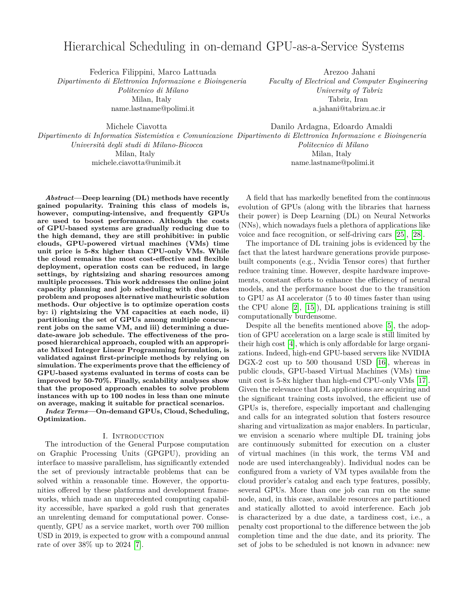# Hierarchical Scheduling in on-demand GPU-as-a-Service Systems

Federica Filippini, Marco Lattuada *Dipartimento di Elettronica Informazione e Bioingeneria Politecnico di Milano* Milan, Italy name.lastname@polimi.it

Arezoo Jahani *Faculty of Electrical and Computer Engineering University of Tabriz* Tabriz, Iran a.jahani@tabrizu.ac.ir

Michele Ciavotta *Dipartimento di Informatica Sistemistica e Comunicazione Dipartimento di Elettronica Informazione e Bioingeneria Università degli studi di Milano-Bicocca* Milan, Italy michele.ciavotta@unimib.it Danilo Ardagna, Edoardo Amaldi *Politecnico di Milano* Milan, Italy name.lastname@polimi.it

*Abstract***—Deep learning (DL) methods have recently gained popularity. Training this class of models is, however, computing-intensive, and frequently GPUs are used to boost performance. Although the costs of GPU-based systems are gradually reducing due to the high demand, they are still prohibitive: in public clouds, GPU-powered virtual machines (VMs) time unit price is 5-8x higher than CPU-only VMs. While the cloud remains the most cost-effective and flexible deployment, operation costs can be reduced, in large settings, by rightsizing and sharing resources among multiple processes. This work addresses the online joint capacity planning and job scheduling with due dates problem and proposes alternative matheuristic solution methods. Our objective is to optimize operation costs by: i) rightsizing the VM capacities at each node, ii) partitioning the set of GPUs among multiple concurrent jobs on the same VM, and iii) determining a duedate-aware job schedule. The effectiveness of the proposed hierarchical approach, coupled with an appropriate Mixed Integer Linear Programming formulation, is validated against first-principle methods by relying on simulation. The experiments prove that the efficiency of GPU-based systems evaluated in terms of costs can be improved by 50-70%. Finally, scalability analyses show that the proposed approach enables to solve problem instances with up to 100 nodes in less than one minute on average, making it suitable for practical scenarios.**

*Index Terms***—On-demand GPUs, Cloud, Scheduling, Optimization.**

## I. Introduction

The introduction of the General Purpose computation on Graphic Processing Units (GPGPU), providing an interface to massive parallelism, has significantly extended the set of previously intractable problems that can be solved within a reasonable time. However, the opportunities offered by these platforms and development frameworks, which made an unprecedented computing capability accessible, have sparked a gold rush that generates an unrelenting demand for computational power. Consequently, GPU as a service market, worth over 700 million USD in 2019, is expected to grow with a compound annual rate of over 38% up to 2024 [\[7\]](#page-7-0).

A field that has markedly benefited from the continuous evolution of GPUs (along with the libraries that harness their power) is Deep Learning (DL) on Neural Networks (NNs), which nowadays fuels a plethora of applications like voice and face recognition, or self-driving cars [\[25\]](#page-7-1), [\[28\]](#page-7-2).

The importance of DL training jobs is evidenced by the fact that the latest hardware generations provide purposebuilt components (e.g., Nvidia Tensor cores) that further reduce training time. However, despite hardware improvements, constant efforts to enhance the efficiency of neural models, and the performance boost due to the transition to GPU as AI accelerator (5 to 40 times faster than using the CPU alone [\[2\]](#page-7-3), [\[15\]](#page-7-4)), DL applications training is still computationally burdensome.

Despite all the benefits mentioned above [\[5\]](#page-7-5), the adoption of GPU acceleration on a large scale is still limited by their high cost [\[4\]](#page-7-6), which is only affordable for large organizations. Indeed, high-end GPU-based servers like NVIDIA DGX-2 cost up to 500 thousand USD [\[16\]](#page-7-7), whereas in public clouds, GPU-based Virtual Machines (VMs) time unit cost is 5-8x higher than high-end CPU-only VMs [\[17\]](#page-7-8). Given the relevance that DL applications are acquiring and the significant training costs involved, the efficient use of GPUs is, therefore, especially important and challenging and calls for an integrated solution that fosters resource sharing and virtualization as major enablers. In particular, we envision a scenario where multiple DL training jobs are continuously submitted for execution on a cluster of virtual machines (in this work, the terms VM and node are used interchangeably). Individual nodes can be configured from a variety of VM types available from the cloud provider's catalog and each type features, possibly, several GPUs. More than one job can run on the same node, and, in this case, available resources are partitioned and statically allotted to avoid interference. Each job is characterized by a due date, a tardiness cost, i.e., a penalty cost proportional to the difference between the job completion time and the due date, and its priority. The set of jobs to be scheduled is not known in advance: new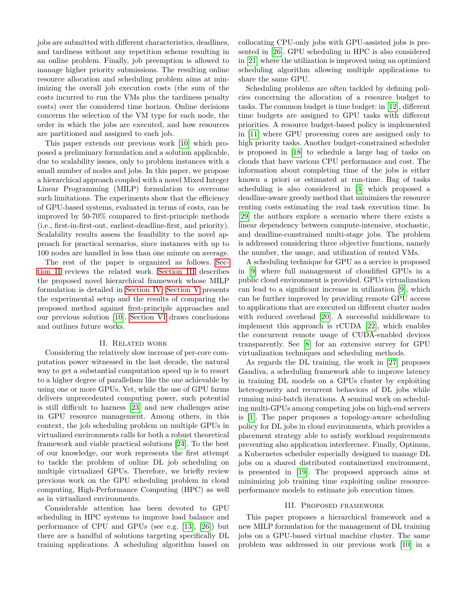jobs are submitted with different characteristics, deadlines, and tardiness without any repetition scheme resulting in an online problem. Finally, job preemption is allowed to manage higher priority submissions. The resulting online resource allocation and scheduling problem aims at minimizing the overall job execution costs (the sum of the costs incurred to run the VMs plus the tardiness penalty costs) over the considered time horizon. Online decisions concerns the selection of the VM type for each node, the order in which the jobs are executed, and how resources are partitioned and assigned to each job.

This paper extends our previous work [\[10\]](#page-7-9) which proposed a preliminary formulation and a solution applicable, due to scalability issues, only to problem instances with a small number of nodes and jobs. In this paper, we propose a hierarchical approach coupled with a novel Mixed Integer Linear Programming (MILP) formulation to overcome such limitations. The experiments show that the efficiency of GPU-based systems, evaluated in terms of costs, can be improved by 50-70% compared to first-principle methods (i.e., first-in-first-out, earliest-deadline-first, and priority). Scalability results assess the feasibility to the novel approach for practical scenarios, since instances with up to 100 nodes are handled in less than one minute on average.

The rest of the paper is organized as follows. [Sec](#page-1-0)[tion II](#page-1-0) reviews the related work. [Section III](#page-1-1) describes the proposed novel hierarchical framework whose MILP formulation is detailed in [Section IV.](#page-2-0) [Section V](#page-5-0) presents the experimental setup and the results of comparing the proposed method against first-principle approaches and our previous solution [\[10\]](#page-7-9). [Section VI](#page-7-10) draws conclusions and outlines future works.

## II. Related work

<span id="page-1-0"></span>Considering the relatively slow increase of per-core computation power witnessed in the last decade, the natural way to get a substantial computation speed up is to resort to a higher degree of parallelism like the one achievable by using one or more GPUs. Yet, while the use of GPU farms delivers unprecedented computing power, such potential is still difficult to harness [\[23\]](#page-7-11) and new challenges arise in GPU resource management. Among others, in this context, the job scheduling problem on multiple GPUs in virtualized environments calls for both a robust theoretical framework and viable practical solutions [\[24\]](#page-7-12). To the best of our knowledge, our work represents the first attempt to tackle the problem of online DL job scheduling on multiple virtualized GPUs. Therefore, we briefly review previous work on the GPU scheduling problem in cloud computing, High-Performance Computing (HPC) as well as in virtualized environments.

Considerable attention has been devoted to GPU scheduling in HPC systems to improve load balance and performance of CPU and GPUs (see e.g. [\[13\]](#page-7-13), [\[26\]](#page-7-14)) but there are a handful of solutions targeting specifically DL training applications. A scheduling algorithm based on

collocating CPU-only jobs with GPU-assisted jobs is presented in [\[26\]](#page-7-14). GPU scheduling in HPC is also considered in [\[21\]](#page-7-15) where the utilization is improved using an optimized scheduling algorithm allowing multiple applications to share the same GPU.

Scheduling problems are often tackled by defining policies concerning the allocation of a resource budget to tasks. The common budget is time budget: in [\[12\]](#page-7-16), different time budgets are assigned to GPU tasks with different priorities. A resource budget-based policy is implemented in [\[11\]](#page-7-17) where GPU processing cores are assigned only to high priority tasks. Another budget-constrained scheduler is proposed in [\[18\]](#page-7-18) to schedule a large bag of tasks on clouds that have various CPU performance and cost. The information about completing time of the jobs is either known a priori or estimated at run-time. Bag of tasks scheduling is also considered in [\[3\]](#page-7-19) which proposed a deadline-aware greedy method that minimizes the resource renting costs estimating the real task execution time. In [\[29\]](#page-7-20) the authors explore a scenario where there exists a linear dependency between compute-intensive, stochastic, and deadline-constrained multi-stage jobs. The problem is addressed considering three objective functions, namely the number, the usage, and utilization of rented VMs.

A scheduling technique for GPU as a service is proposed in [\[9\]](#page-7-21) where full management of cloudified GPUs in a public cloud environment is provided. GPUs virtualization can lead to a significant increase in utilization [\[9\]](#page-7-21), which can be further improved by providing remote GPU access to applications that are executed on different cluster nodes with reduced overhead [\[20\]](#page-7-22). A successful middleware to implement this approach is rCUDA [\[22\]](#page-7-23), which enables the concurrent remote usage of CUDA-enabled devices transparently. See [\[8\]](#page-7-24) for an extensive survey for GPU virtualization techniques and scheduling methods.

As regards the DL training, the work in [\[27\]](#page-7-25) proposes Gandiva, a scheduling framework able to improve latency in training DL models on a GPUs cluster by exploiting heterogeneity and recurrent behaviors of DL jobs while running mini-batch iterations. A seminal work on scheduling multi-GPUs among competing jobs on high-end servers is [\[1\]](#page-7-26). The paper proposes a topology-aware scheduling policy for DL jobs in cloud environments, which provides a placement strategy able to satisfy workload requirements preventing also application interference. Finally, Optimus, a Kubernetes scheduler especially designed to manage DL jobs on a shared distributed containerized environment, is presented in [\[19\]](#page-7-27). The proposed approach aims at minimizing job training time exploiting online resourceperformance models to estimate job execution times.

## III. Proposed framework

<span id="page-1-1"></span>This paper proposes a hierarchical framework and a new MILP formulation for the management of DL training jobs on a GPU-based virtual machine cluster. The same problem was addressed in our previous work [\[10\]](#page-7-9) in a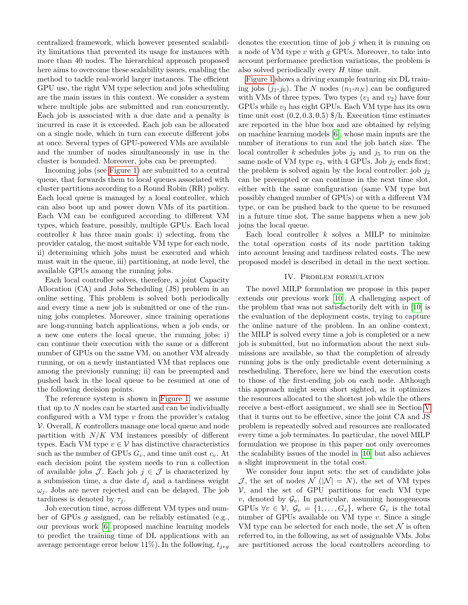centralized framework, which however presented scalability limitations that prevented its usage for instances with more than 40 nodes. The hierarchical approach proposed here aims to overcome these scalability issues, enabling the method to tackle real-world larger instances. The efficient GPU use, the right VM type selection and jobs scheduling are the main issues in this context. We consider a system where multiple jobs are submitted and run concurrently. Each job is associated with a due date and a penalty is incurred in case it is exceeded. Each job can be allocated on a single node, which in turn can execute different jobs at once. Several types of GPU-powered VMs are available and the number of nodes simultaneously in use in the cluster is bounded. Moreover, jobs can be preempted.

Incoming jobs (see [Figure 1\)](#page-3-0) are submitted to a central queue, that forwards them to local queues associated with cluster partitions according to a Round Robin (RR) policy. Each local queue is managed by a local controller, which can also boot up and power down VMs of its partition. Each VM can be configured according to different VM types, which feature, possibly, multiple GPUs. Each local controller *k* has three main goals: i) selecting, from the provider catalog, the most suitable VM type for each node, ii) determining which jobs must be executed and which must wait in the queue, iii) partitioning, at node level, the available GPUs among the running jobs.

Each local controller solves, therefore, a joint Capacity Allocation (CA) and Jobs Scheduling (JS) problem in an online setting. This problem is solved both periodically and every time a new job is submitted or one of the running jobs completes. Moreover, since training operations are long-running batch applications, when a job ends, or a new one enters the local queue, the running jobs: i) can continue their execution with the same or a different number of GPUs on the same VM, on another VM already running, or on a newly instantiated VM that replaces one among the previously running; ii) can be preempted and pushed back in the local queue to be resumed at one of the following decision points.

The reference system is shown in [Figure 1:](#page-3-0) we assume that up to  $N$  nodes can be started and can be individually configured with a VM type *v* from the provider's catalog V. Overall, *K* controllers manage one local queue and node partition with *N/K* VM instances possibly of different types. Each VM type  $v \in V$  has distinctive characteristics such as the number of GPUs  $G_v$ , and time unit cost  $c_v$ . At each decision point the system needs to run a collection of available jobs  $\mathcal{J}$ . Each job  $j \in \mathcal{J}$  is characterized by a submission time, a due date *d<sup>j</sup>* and a tardiness weight  $\omega_i$ . Jobs are never rejected and can be delayed. The job tardiness is denoted by  $\tau_i$ .

Job execution time, across different VM types and number of GPUs *g* assigned, can be reliably estimated (e.g., our previous work [\[6\]](#page-7-28) proposed machine learning models to predict the training time of DL applications with an average percentage error below 11%). In the following, *tjvg*

denotes the execution time of job *j* when it is running on a node of VM type *v* with *g* GPUs. Moreover, to take into account performance prediction variations, the problem is also solved periodically every *H* time unit.

[Figure 1](#page-3-0) shows a driving example featuring six DL training jobs  $(j_1-j_6)$ . The *N* nodes  $(n_1-n_N)$  can be configured with VMs of three types. Two types  $(v_1 \text{ and } v_2)$  have four GPUs while *v*<sup>3</sup> has eight GPUs. Each VM type has its own time unit cost (0*.*2*,* 0*.*3*,* 0*.*5) \$/h. Execution time estimates are reported in the blue box and are obtained by relying on machine learning models [\[6\]](#page-7-28), whose main inputs are the number of iterations to run and the job batch size. The local controller *k* schedules jobs  $j_2$  and  $j_5$  to run on the same node of VM type  $v_2$ , with 4 GPUs. Job  $j_5$  ends first; the problem is solved again by the local controller: job  $j_2$ can be preempted or can continue in the next time slot, either with the same configuration (same VM type but possibly changed number of GPUs) or with a different VM type, or can be pushed back to the queue to be resumed in a future time slot. The same happens when a new job joins the local queue.

Each local controller *k* solves a MILP to minimize the total operation costs of its node partition taking into account leasing and tardiness related costs. The new proposed model is described in detail in the next section.

## IV. Problem formulation

<span id="page-2-0"></span>The novel MILP formulation we propose in this paper extends our previous work [\[10\]](#page-7-9). A challenging aspect of the problem that was not satisfactorily delt with in [\[10\]](#page-7-9) is the evaluation of the deployment costs, trying to capture the online nature of the problem. In an online context, the MILP is solved every time a job is completed or a new job is submitted, but no information about the next submissions are available, so that the completion of already running jobs is the only predictable event determining a rescheduling. Therefore, here we bind the execution costs to those of the first-ending job on each node. Although this approach might seem short sighted, as it optimizes the resources allocated to the shortest job while the others receive a best-effort assignment, we shall see in Section [V](#page-5-0) that it turns out to be effective, since the joint CA and JS problem is repeatedly solved and resources are reallocated every time a job terminates. In particular, the novel MILP formulation we propose in this paper not only overcomes the scalability issues of the model in [\[10\]](#page-7-9) but also achieves a slight improvement in the total cost.

We consider four input sets: the set of candidate jobs J, the set of nodes  $\mathcal{N}$  ( $|\mathcal{N}| = N$ ), the set of VM types  $V$ , and the set of GPU partitions for each VM type  $v$ , denoted by  $\mathcal{G}_v$ . In particular, assuming homogeneous GPUs  $\forall v \in \mathcal{V}, \mathcal{G}_v = \{1, \ldots, G_v\}$ , where  $G_v$  is the total number of GPUs available on VM type *v*. Since a single VM type can be selected for each node, the set  $\mathcal N$  is often referred to, in the following, as set of assignable VMs. Jobs are partitioned across the local controllers according to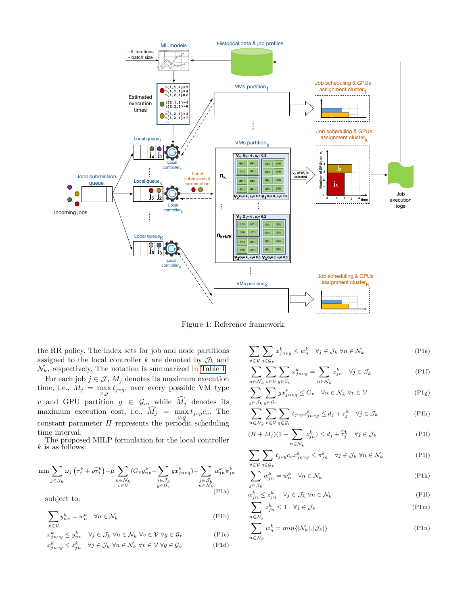<span id="page-3-0"></span>

Figure 1: Reference framework.

the RR policy. The index sets for job and node partitions assigned to the local controller  $k$  are denoted by  $\mathcal{J}_k$  and  $\mathcal{N}_k,$  respectively. The notation is summarized in [Table I.](#page-4-0)

For each job  $j \in \mathcal{J}$ ,  $M_j$  denotes its maximum execution time, i.e.,  $M_j = \max_{v,g} t_{jvg}$ , over every possible VM type *v* and GPU partition  $g \in \mathcal{G}_v$ , while  $M_j$  denotes its maximum execution cost, i.e.,  $M_j = \max_{v,g} t_{jvg} c_v$ . The constant parameter *H* represents the periodic scheduling time interval.

<span id="page-3-15"></span>The proposed MILP formulation for the local controller *k* is as follows:

<span id="page-3-14"></span>
$$
\min \sum_{j \in \mathcal{J}_k} \omega_j \left( \tau_j^k + \rho \widehat{\tau}_j^k \right) + \mu \sum_{\substack{n \in \mathcal{N}_k \\ v \in \mathcal{V}}} (G_v y_{nv}^k - \sum_{\substack{j \in \mathcal{J}_k \\ g \in \mathcal{G}_v}} g x_{jnvg}^k) + \sum_{\substack{j \in \mathcal{J}_k \\ n \in \mathcal{N}_k}} \alpha_{j n}^k \pi_{j n}^k
$$

subject to:

$$
\sum_{v \in \mathcal{V}} y_{nv}^k = w_n^k \quad \forall n \in \mathcal{N}_k
$$
 (P1b)

$$
x_{j n v g}^k \leq y_{n v}^k \quad \forall j \in \mathcal{J}_k \,\,\forall n \in \mathcal{N}_k \,\,\forall v \in \mathcal{V} \,\,\forall g \in \mathcal{G}_v
$$
 (P1c)

$$
x_{jnvg}^k \le z_{jn}^k \quad \forall j \in \mathcal{J}_k \,\,\forall n \in \mathcal{N}_k \,\,\forall v \in \mathcal{V} \,\,\forall g \in \mathcal{G}_v \tag{P1d}
$$

$$
\sum_{v \in V} \sum_{g \in \mathcal{G}_v} x_{j n v g}^k \le w_n^k \quad \forall j \in \mathcal{J}_k \ \forall n \in \mathcal{N}_k
$$
\n
$$
(P1e)
$$

<span id="page-3-5"></span><span id="page-3-4"></span>
$$
\sum_{n \in \mathcal{N}_k} \sum_{v \in \mathcal{V}} \sum_{g \in \mathcal{G}_v} x_{j n v g}^k = \sum_{n \in \mathcal{N}_k} z_{j n}^k \quad \forall j \in \mathcal{J}_k
$$
 (P1f)

<span id="page-3-7"></span><span id="page-3-6"></span>
$$
\sum_{j\in\mathcal{J}_k}\sum_{g\in\mathcal{G}_v}gx_{jnvg}^k\leq G_v\quad\forall n\in\mathcal{N}_k\;\forall v\in\mathcal{V}\tag{P1g}
$$

<span id="page-3-8"></span>
$$
\sum_{n \in \mathcal{N}_k} \sum_{v \in \mathcal{V}} \sum_{g \in \mathcal{G}_v} t_{jvg} x_{jnyg}^k \le d_j + \tau_j^k \quad \forall j \in \mathcal{J}_k
$$
 (P1h)

$$
(H + M_j)(1 - \sum_{n \in \mathcal{N}_k} z_{jn}^k) \le d_j + \widehat{\tau}_j^k \quad \forall j \in \mathcal{J}_k
$$
 (P1i)

<span id="page-3-9"></span>
$$
\sum_{v \in V} \sum_{g \in \mathcal{G}_v} t_{jvg} c_v x_{jnvg}^k \le \pi_{jn}^k \quad \forall j \in \mathcal{J}_k \ \forall n \in \mathcal{N}_k
$$
 (P1j)

<span id="page-3-10"></span>
$$
\sum_{j \in \mathcal{J}_k} \alpha_{jn}^k = w_n^k \quad \forall n \in \mathcal{N}_k
$$
\n
$$
(P1k)
$$

<span id="page-3-11"></span>
$$
\alpha_{jn}^k \le z_{jn}^k \quad \forall j \in \mathcal{J}_k \,\,\forall n \in \mathcal{N}_k \tag{P11}
$$

<span id="page-3-13"></span><span id="page-3-12"></span>
$$
\sum_{n \in \mathcal{N}_k} z_{jn}^k \le 1 \quad \forall j \in \mathcal{J}_k
$$
\n
$$
(P1m)
$$

<span id="page-3-3"></span><span id="page-3-2"></span><span id="page-3-1"></span>
$$
\sum_{n \in \mathcal{N}_k} w_n^k = \min\{|\mathcal{N}_k|, |\mathcal{J}_k|\}\tag{P1n}
$$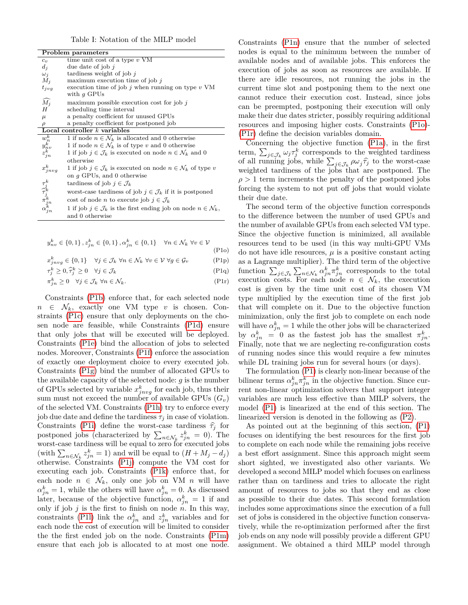Table I: Notation of the MILP model

<span id="page-4-0"></span>

| Problem parameters                                                        |                                                                                        |  |  |  |
|---------------------------------------------------------------------------|----------------------------------------------------------------------------------------|--|--|--|
| $c_v$                                                                     | time unit cost of a type $v$ VM                                                        |  |  |  |
| $d_j$                                                                     | due date of job $i$                                                                    |  |  |  |
| $\omega_j$                                                                | tardiness weight of job $j$                                                            |  |  |  |
| $M_j$                                                                     | maximum execution time of job $\hat{j}$                                                |  |  |  |
| $t_{jvg}$                                                                 | execution time of job j when running on type $v$ VM<br>with $q$ GPUs                   |  |  |  |
| $\widehat{M_j}$                                                           | maximum possible execution cost for job $\hat{j}$                                      |  |  |  |
| H                                                                         | scheduling time interval                                                               |  |  |  |
| $\mu$                                                                     | a penalty coefficient for unused GPUs                                                  |  |  |  |
| $\rho$                                                                    | a penalty coefficient for postponed job                                                |  |  |  |
| Local controller $k$ variables                                            |                                                                                        |  |  |  |
|                                                                           | 1 if node $n \in \mathcal{N}_k$ is allocated and 0 otherwise                           |  |  |  |
| $\frac{w_n^k}{y_{nv}^k}$<br>$z_{jn}^k$                                    | 1 if node $n \in \mathcal{N}_k$ is of type v and 0 otherwise                           |  |  |  |
|                                                                           | 1 if job $j \in \mathcal{J}_k$ is executed on node $n \in \mathcal{N}_k$ and 0         |  |  |  |
|                                                                           | otherwise                                                                              |  |  |  |
| $\boldsymbol{x}_{jnvg}^k$                                                 | 1 if job $j \in \mathcal{J}_k$ is executed on node $n \in \mathcal{N}_k$ of type v     |  |  |  |
|                                                                           | on $q$ GPUs, and 0 otherwise                                                           |  |  |  |
|                                                                           | tardiness of job $j \in \mathcal{J}_k$                                                 |  |  |  |
|                                                                           | worst-case tardiness of job $j \in \mathcal{J}_k$ if it is postponed                   |  |  |  |
|                                                                           | cost of node <i>n</i> to execute job $j \in \mathcal{J}_k$                             |  |  |  |
| $\tau^k_{\hat{\tau}} \tau^k_{\hat{j}_k} \ \pi^{k}_{jn} \ \alpha^{k}_{jn}$ | 1 if job $j \in \mathcal{J}_k$ is the first ending job on node $n \in \mathcal{N}_k$ , |  |  |  |
|                                                                           | and 0 otherwise                                                                        |  |  |  |

$$
y_{nv}^{k} \in \{0, 1\}, z_{jn}^{k} \in \{0, 1\}, \alpha_{jn}^{k} \in \{0, 1\} \quad \forall n \in \mathcal{N}_{k} \ \forall v \in \mathcal{V}
$$
\n
$$
(P10)
$$

$$
x_{j n v g}^k \in \{0, 1\} \quad \forall j \in \mathcal{J}_k \,\,\forall n \in \mathcal{N}_k \,\,\forall v \in \mathcal{V} \,\,\forall g \in \mathcal{G}_v \tag{P1p}
$$

$$
\tau_j^k \ge 0, \hat{\tau}_j^k \ge 0 \quad \forall j \in \mathcal{J}_k \tag{P1q}
$$

$$
\pi_{jn}^k \ge 0 \quad \forall j \in \mathcal{J}_k \,\,\forall n \in \mathcal{N}_k. \tag{P1r}
$$

Constraints [\(P1b\)](#page-3-1) enforce that, for each selected node  $n \in \mathcal{N}_k$ , exactly one VM type *v* is chosen. Constraints [\(P1c\)](#page-3-2) ensure that only deployments on the chosen node are feasible, while Constraints [\(P1d\)](#page-3-3) ensure that only jobs that will be executed will be deployed. Constraints [\(P1e\)](#page-3-4) bind the allocation of jobs to selected nodes. Moreover, Constraints [\(P1f\)](#page-3-5) enforce the association of exactly one deployment choice to every executed job. Constraints [\(P1g\)](#page-3-6) bind the number of allocated GPUs to the available capacity of the selected node: *g* is the number of GPUs selected by variable  $x_{jnyg}^k$  for each job, thus their sum must not exceed the number of available GPUs  $(G_v)$ of the selected VM. Constraints [\(P1h\)](#page-3-7) try to enforce every job due date and define the tardiness  $\tau_j$  in case of violation. Constraints [\(P1i\)](#page-3-8) define the worst-case tardiness  $\hat{\tau}_i$  for postponed jobs (characterized by  $\sum_{n \in \mathcal{N}_k} z_{jn}^k = 0$ ). The worst-case tardiness will be equal to zero for executed jobs (with  $\sum_{n \in \mathcal{N}_k} z_{jn}^k = 1$ ) and will be equal to  $(H + M_j - d_j)$ otherwise. Constraints [\(P1j\)](#page-3-9) compute the VM cost for executing each job. Constraints [\(P1k\)](#page-3-10) enforce that, for each node  $n \in \mathcal{N}_k$ , only one job on VM  $n$  will have  $\alpha_{jn}^k = 1$ , while the others will have  $\alpha_{jn}^k = 0$ . As discussed later, because of the objective function,  $\alpha_{jn}^k = 1$  if and only if job  $j$  is the first to finish on node  $n$ . In this way, constraints (P11) link the  $\alpha_{jn}^k$  and  $z_{jn}^k$  variables and for each node the cost of execution will be limited to consider the the first ended job on the node. Constraints [\(P1m\)](#page-3-12) ensure that each job is allocated to at most one node.

Constraints [\(P1n\)](#page-3-13) ensure that the number of selected nodes is equal to the minimum between the number of available nodes and of available jobs. This enforces the execution of jobs as soon as resources are available. If there are idle resources, not running the jobs in the current time slot and postponing them to the next one cannot reduce their execution cost. Instead, since jobs can be preempted, postponing their execution will only make their due dates stricter, possibly requiring additional resources and imposing higher costs. Constraints [\(P1o\)](#page-4-1)- [\(P1r\)](#page-4-2) define the decision variables domain.

Concerning the objective function [\(P1a\)](#page-3-14), in the first term,  $\sum_{j \in \mathcal{J}_k} \omega_j \tau_j^k$  corresponds to the weighted tardiness of all running jobs, while  $\sum_{j \in \mathcal{J}_k} \rho \omega_j \hat{\tau}_j$  to the worst-case<br>woishted tardingss of the jobs that are postponed. The weighted tardiness of the jobs that are postponed. The *ρ >* 1 term increments the penalty of the postponed jobs forcing the system to not put off jobs that would violate their due date.

<span id="page-4-2"></span><span id="page-4-1"></span>The second term of the objective function corresponds to the difference between the number of used GPUs and the number of available GPUs from each selected VM type. Since the objective function is minimized, all available resources tend to be used (in this way multi-GPU VMs do not have idle resources,  $\mu$  is a positive constant acting as a Lagrange multiplier). The third term of the objective function  $\sum_{j\in\mathcal{J}_k}\sum_{n\in\mathcal{N}_k}\alpha_{jn}^k\pi_{jn}^k$  corresponds to the total execution costs. For each node  $n \in \mathcal{N}_k$ , the execution cost is given by the time unit cost of its chosen VM type multiplied by the execution time of the first job that will complete on it. Due to the objective function minimization, only the first job to complete on each node will have  $\alpha_{jn}^k = 1$  while the other jobs will be characterized by  $\alpha_{jn}^k = 0$  as the fastest job has the smallest  $\pi_{jn}^k$ . Finally, note that we are neglecting re-configuration costs of running nodes since this would require a few minutes while DL training jobs run for several hours (or days).

The formulation [\(P1\)](#page-3-15) is clearly non-linear because of the bilinear terms  $\alpha_{jn}^k \pi_{jn}^k$  in the objective function. Since current non-linear optimization solvers that support integer variables are much less effective than MILP solvers, the model [\(P1\)](#page-3-15) is linearized at the end of this section. The linearized version is denoted in the following as [\(P2\)](#page-5-1).

As pointed out at the beginning of this section, [\(P1\)](#page-3-15) focuses on identifying the best resources for the first job to complete on each node while the remaining jobs receive a best effort assignment. Since this approach might seem short sighted, we investigated also other variants. We developed a second MILP model which focuses on earliness rather than on tardiness and tries to allocate the right amount of resources to jobs so that they end as close as possible to their due dates. This second formulation includes some approximations since the execution of a full set of jobs is considered in the objective function conservatively, while the re-optimization performed after the first job ends on any node will possibly provide a different GPU assignment. We obtained a third MILP model through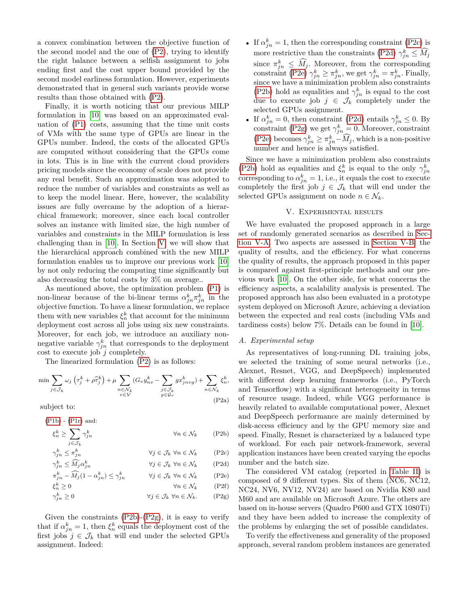a convex combination between the objective function of the second model and the one of [\(P2\)](#page-5-1), trying to identify the right balance between a selfish assignment to jobs ending first and the cost upper bound provided by the second model earliness formulation. However, experiments demonstrated that in general such variants provide worse results than those obtained with [\(P2\)](#page-5-1).

Finally, it is worth noticing that our previous MILP formulation in [\[10\]](#page-7-9) was based on an approximated evaluation of [\(P1\)](#page-3-15) costs, assuming that the time unit costs of VMs with the same type of GPUs are linear in the GPUs number. Indeed, the costs of the allocated GPUs are computed without considering that the GPUs come in lots. This is in line with the current cloud providers pricing models since the economy of scale does not provide any real benefit. Such an approximation was adopted to reduce the number of variables and constraints as well as to keep the model linear. Here, however, the scalability issues are fully overcame by the adoption of a hierarchical framework; moreover, since each local controller solves an instance with limited size, the high number of variables and constraints in the MILP formulation is less challenging than in [\[10\]](#page-7-9). In Section [V,](#page-5-0) we will show that the hierarchical approach combined with the new MILP formulation enables us to improve our previous work [\[10\]](#page-7-9) by not only reducing the computing time significantly but also decreasing the total costs by 3% on average..

As mentioned above, the optimization problem [\(P1\)](#page-3-15) is non-linear because of the bi-linear terms  $\alpha_{jn}^k \pi_{jn}^k$  in the objective function. To have a linear formulation, we replace them with new variables  $\xi_n^k$  that account for the minimum deployment cost across all jobs using six new constraints. Moreover, for each job, we introduce an auxiliary nonnegative variable  $\gamma_{jn}^k$  that corresponds to the deployment cost to execute job *j* completely.

<span id="page-5-1"></span>The linearized formulation [\(P2\)](#page-5-1) is as follows:

$$
\min \sum_{j \in \mathcal{J}_k} \omega_j \left( \tau_j^k + \rho \hat{\tau}_j^k \right) + \mu \sum_{\substack{n \in \mathcal{N}_k \\ v \in \mathcal{V}}} (G_v y_{nv}^k - \sum_{\substack{j \in \mathcal{J}_k \\ g \in \mathcal{G}_v}} g x_{jnvg}^k) + \sum_{n \in \mathcal{N}_k} \xi_n^k,
$$
\n(P2a)

subject to:

| $\forall n \in \mathcal{N}_k$                                | (P2b) |
|--------------------------------------------------------------|-------|
|                                                              |       |
| $\forall j \in \mathcal{J}_k \ \forall n \in \mathcal{N}_k$  | (P2c) |
| $\forall j \in \mathcal{J}_k \ \forall n \in \mathcal{N}_k$  | (P2d) |
| $\forall j \in \mathcal{J}_k \ \forall n \in \mathcal{N}_k$  | (P2e) |
| $\forall n \in \mathcal{N}_k$                                | (P2f) |
| $\forall i \in \mathcal{J}_k \ \forall n \in \mathcal{N}_k.$ | (P2g) |
|                                                              |       |

Given the constraints  $(P2b)$ - $(P2g)$ , it is easy to verify that if  $\alpha_{jn}^k = 1$ , then  $\xi_n^k$  equals the deployment cost of the first jobs  $j \in \mathcal{J}_k$  that will end under the selected GPUs assignment. Indeed:

- If  $\alpha_{jn}^k = 1$ , then the corresponding constraint [\(P2c\)](#page-5-4) is more restrictive than the constraints [\(P2d\)](#page-5-5)  $\gamma_{jn}^k \leq \widehat{M}_j$ since  $\pi_{jn}^k \leq \widehat{M}_j$ . Moreover, from the corresponding<br>constraint [\(P2e\)](#page-5-6)  $\gamma_{jn}^k \geq \pi_{jn}^k$ , we get  $\gamma_{jn}^k = \pi_{jn}^k$ . Finally, since we have a minimization problem also constraints [\(P2b\)](#page-5-2) hold as equalities and  $\gamma_{jn}^k$  is equal to the cost due to execute job  $j \in \mathcal{J}_k$  completely under the selected GPUs assignment.
- If  $\alpha_{jn}^k = 0$ , then constraint [\(P2d\)](#page-5-5) entails  $\gamma_{jn}^k \leq 0$ . By constraint [\(P2g\)](#page-5-3) we get  $\gamma_{jn}^k = 0$ . Moreover, constraint [\(P2e\)](#page-5-6) becomes  $\gamma_{jn}^k \geq \pi_{jn}^k - M_j$ , which is a non-positive number and hence is always satisfied.

Since we have a minimization problem also constraints [\(P2b\)](#page-5-2) hold as equalities and  $\xi_n^k$  is equal to the only  $\gamma_{jn}^k$ corresponding to  $\alpha_{jn}^k = 1$ , i.e., it equals the cost to execute completely the first job  $j \in \mathcal{J}_k$  that will end under the selected GPUs assignment on node  $n \in \mathcal{N}_k$ .

### V. Experimental results

<span id="page-5-0"></span>We have evaluated the proposed approach in a large set of randomly generated scenarios as described in [Sec](#page-5-7)[tion V-A.](#page-5-7) Two aspects are assessed in [Section V-B:](#page-6-0) the quality of results, and the efficiency. For what concerns the quality of results, the approach proposed in this paper is compared against first-principle methods and our previous work [\[10\]](#page-7-9). On the other side, for what concerns the efficiency aspects, a scalability analysis is presented. The proposed approach has also been evaluated in a prototype system deployed on Microsoft Azure, achieving a deviation between the expected and real costs (including VMs and tardiness costs) below 7%. Details can be found in [\[10\]](#page-7-9).

## <span id="page-5-7"></span>*A. Experimental setup*

As representatives of long-running DL training jobs, we selected the training of some neural networks (i.e., Alexnet, Resnet, VGG, and DeepSpeech) implemented with different deep learning frameworks (i.e., PyTorch and Tensorflow) with a significant heterogeneity in terms of resource usage. Indeed, while VGG performance is heavily related to available computational power, Alexnet and DeepSpeech performance are mainly determined by disk-access efficiency and by the GPU memory size and speed. Finally, Resnet is characterized by a balanced type of workload. For each pair network-framework, several application instances have been created varying the epochs number and the batch size.

<span id="page-5-6"></span><span id="page-5-5"></span><span id="page-5-4"></span><span id="page-5-3"></span><span id="page-5-2"></span>The considered VM catalog (reported in [Table II\)](#page-6-1) is composed of 9 different types. Six of them (NC6, NC12, NC24, NV6, NV12, NV24) are based on Nvidia K80 and M60 and are available on Microsoft Azure. The others are based on in-house servers (Quadro P600 and GTX 1080Ti) and they have been added to increase the complexity of the problems by enlarging the set of possible candidates.

To verify the effectiveness and generality of the proposed approach, several random problem instances are generated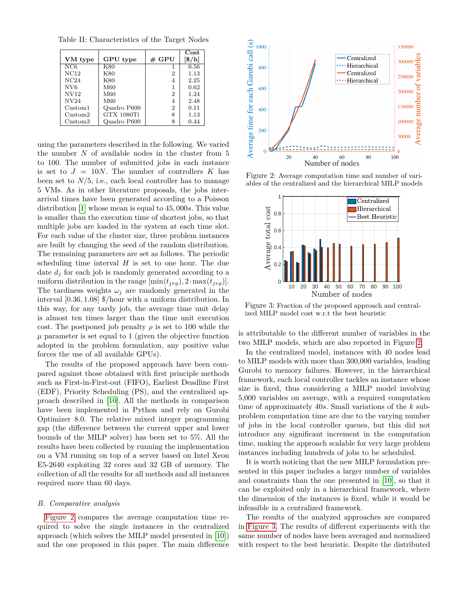<span id="page-6-1"></span>Table II: Characteristics of the Target Nodes

|                     |                 |                | Cost                                       |
|---------------------|-----------------|----------------|--------------------------------------------|
| VM type             | <b>GPU</b> type | $#$ GPU        | $\left[\frac{\scriptstyle 8}/\!\ln\right]$ |
| NC6                 | K80             |                | 0.56                                       |
| NC12                | K80             | $\overline{2}$ | 1.13                                       |
| NC24                | K80             | 4              | 2.25                                       |
| NV <sub>6</sub>     | M60             |                | 0.62                                       |
| <b>NV12</b>         | M60             | $\overline{2}$ | 1.24                                       |
| N <sub>V</sub> 24   | M60             | 4              | 2.48                                       |
| Custom <sub>1</sub> | Quadro P600     | 2              | 0.11                                       |
| Custom2             | GTX 1080Ti      | 8              | 1.13                                       |
| Custom <sub>3</sub> | Quadro P600     | 8              | 0.44                                       |

using the parameters described in the following. We varied the number *N* of available nodes in the cluster from 5 to 100. The number of submitted jobs in each instance is set to  $J = 10N$ . The number of controllers  $K$  has been set to  $N/5$ , i.e., each local controller has to manage 5 VMs. As in other literature proposals, the jobs interarrival times have been generated according to a Poisson distribution [\[1\]](#page-7-26) whose mean is equal to 45*,* 000*s*. This value is smaller than the execution time of shortest jobs, so that multiple jobs are loaded in the system at each time slot. For each value of the cluster size, three problem instances are built by changing the seed of the random distribution. The remaining parameters are set as follows. The periodic scheduling time interval *H* is set to one hour. The due date  $d_i$  for each job is randomly generated according to a uniform distribution in the range  $[\min(t_{j \vee q}), 2 \cdot \max(t_{j \vee q})]$ . The tardiness weights  $\omega_i$  are randomly generated in the interval [0*.*36*,* 1*.*08] \$/hour with a uniform distribution. In this way, for any tardy job, the average time unit delay is almost ten times larger than the time unit execution cost. The postponed job penalty  $\rho$  is set to 100 while the  $\mu$  parameter is set equal to 1 (given the objective function adopted in the problem formulation, any positive value forces the use of all available GPUs).

The results of the proposed approach have been compared against those obtained with first principle methods such as First-in-First-out (FIFO), Earliest Deadline First (EDF), Priority Scheduling (PS), and the centralized approach described in [\[10\]](#page-7-9). All the methods in comparison have been implemented in Python and rely on Gurobi Optimizer 8.0. The relative mixed integer programming gap (the difference between the current upper and lower bounds of the MILP solver) has been set to 5%. All the results have been collected by running the implementation on a VM running on top of a server based on Intel Xeon E5-2640 exploiting 32 cores and 32 GB of memory. The collection of all the results for all methods and all instances required more than 60 days.

## <span id="page-6-0"></span>*B. Comparative analysis*

[Figure 2](#page-6-2) compares the average computation time required to solve the single instances in the centralized approach (which solves the MILP model presented in [\[10\]](#page-7-9)) and the one proposed in this paper. The main difference

<span id="page-6-2"></span>

Figure 2: Average computation time and number of variables of the centralized and the hierarchical MILP models



Figure 3: Fraction of the proposed approach and centralized MILP model cost w.r.t the best heuristic

is attributable to the different number of variables in the two MILP models, which are also reported in Figure [2.](#page-6-2)

In the centralized model, instances with 40 nodes lead to MILP models with more than 300,000 variables, leading Gurobi to memory failures. However, in the hierarchical framework, each local controller tackles an instance whose size is fixed, thus considering a MILP model involving 5,000 variables on average, with a required computation time of approximately 40*s*. Small variations of the *k* subproblem computation time are due to the varying number of jobs in the local controller queues, but this did not introduce any significant increment in the computation time, making the approach scalable for very large problem instances including hundreds of jobs to be scheduled.

It is worth noticing that the new MILP formulation presented in this paper includes a larger number of variables and constraints than the one presented in [\[10\]](#page-7-9), so that it can be exploited only in a hierarchical framework, where the dimension of the instances is fixed, while it would be infeasible in a centralized framework.

The results of the analyzed approaches are compared in [Figure 3.](#page-6-2) The results of different experiments with the same number of nodes have been averaged and normalized with respect to the best heuristic. Despite the distributed